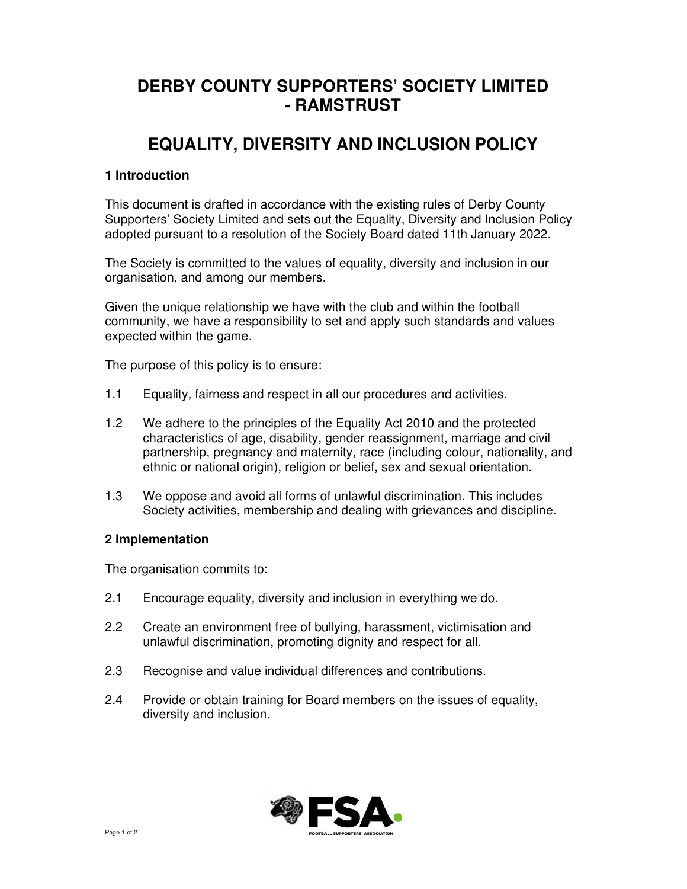# **DERBY COUNTY SUPPORTERS' SOCIETY LIMITED - RAMSTRUST**

# **EQUALITY, DIVERSITY AND INCLUSION POLICY**

### **1 Introduction**

This document is drafted in accordance with the existing rules of Derby County Supporters' Society Limited and sets out the Equality, Diversity and Inclusion Policy adopted pursuant to a resolution of the Society Board dated 11th January 2022.

The Society is committed to the values of equality, diversity and inclusion in our organisation, and among our members.

Given the unique relationship we have with the club and within the football community, we have a responsibility to set and apply such standards and values expected within the game.

The purpose of this policy is to ensure:

- 1.1 Equality, fairness and respect in all our procedures and activities.
- 1.2 We adhere to the principles of the Equality Act 2010 and the protected characteristics of age, disability, gender reassignment, marriage and civil partnership, pregnancy and maternity, race (including colour, nationality, and ethnic or national origin), religion or belief, sex and sexual orientation.
- 1.3 We oppose and avoid all forms of unlawful discrimination. This includes Society activities, membership and dealing with grievances and discipline.

#### **2 Implementation**

The organisation commits to:

- 2.1 Encourage equality, diversity and inclusion in everything we do.
- 2.2 Create an environment free of bullying, harassment, victimisation and unlawful discrimination, promoting dignity and respect for all.
- 2.3 Recognise and value individual differences and contributions.
- 2.4 Provide or obtain training for Board members on the issues of equality, diversity and inclusion.